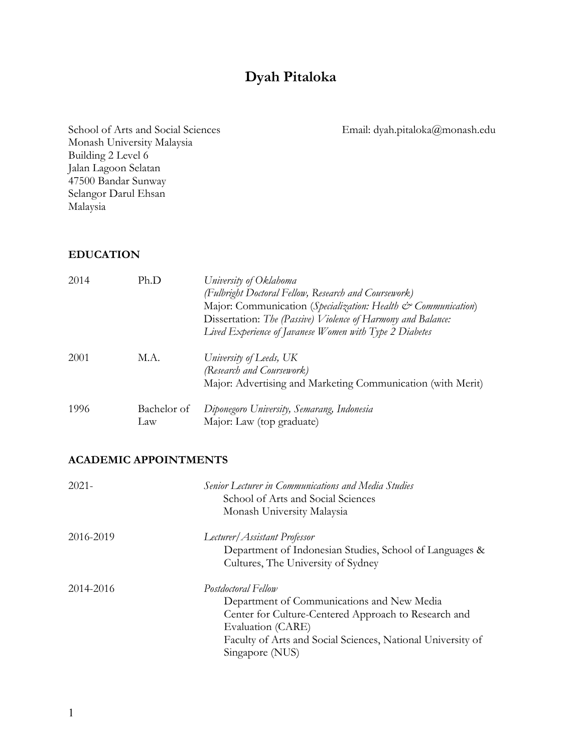# **Dyah Pitaloka**

School of Arts and Social Sciences Email: dyah.pitaloka@monash.edu Monash University Malaysia Building 2 Level 6 Jalan Lagoon Selatan 47500 Bandar Sunway Selangor Darul Ehsan Malaysia

#### **EDUCATION**

| 2014 | Ph.D               | University of Oklahoma<br>(Fulbright Doctoral Fellow, Research and Coursework)<br>Major: Communication (Specialization: Health & Communication)<br>Dissertation: The (Passive) Violence of Harmony and Balance:<br>Lived Experience of Javanese Women with Type 2 Diabetes |
|------|--------------------|----------------------------------------------------------------------------------------------------------------------------------------------------------------------------------------------------------------------------------------------------------------------------|
| 2001 | M.A.               | University of Leeds, UK<br>(Research and Coursework)<br>Major: Advertising and Marketing Communication (with Merit)                                                                                                                                                        |
| 1996 | Bachelor of<br>Law | Diponegoro University, Semarang, Indonesia<br>Major: Law (top graduate)                                                                                                                                                                                                    |

#### **ACADEMIC APPOINTMENTS**

| $2021 -$  | Senior Lecturer in Communications and Media Studies<br>School of Arts and Social Sciences<br>Monash University Malaysia                                                                                                          |
|-----------|----------------------------------------------------------------------------------------------------------------------------------------------------------------------------------------------------------------------------------|
| 2016-2019 | Lecturer/Assistant Professor<br>Department of Indonesian Studies, School of Languages &<br>Cultures, The University of Sydney                                                                                                    |
| 2014-2016 | Postdoctoral Fellow<br>Department of Communications and New Media<br>Center for Culture-Centered Approach to Research and<br>Evaluation (CARE)<br>Faculty of Arts and Social Sciences, National University of<br>Singapore (NUS) |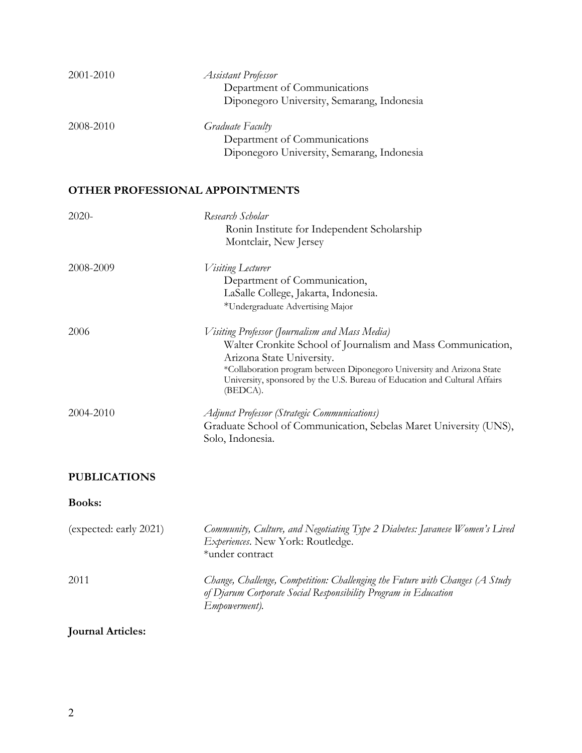| 2001-2010 | <b>Assistant Professor</b><br>Department of Communications<br>Diponegoro University, Semarang, Indonesia                                                                                                                                                                                                        |
|-----------|-----------------------------------------------------------------------------------------------------------------------------------------------------------------------------------------------------------------------------------------------------------------------------------------------------------------|
| 2008-2010 | Graduate Faculty<br>Department of Communications<br>Diponegoro University, Semarang, Indonesia                                                                                                                                                                                                                  |
|           | OTHER PROFESSIONAL APPOINTMENTS                                                                                                                                                                                                                                                                                 |
| 2020-     | Research Scholar<br>Ronin Institute for Independent Scholarship<br>Montclair, New Jersey                                                                                                                                                                                                                        |
| 2008-2009 | <i>Visiting</i> Lecturer<br>Department of Communication,<br>LaSalle College, Jakarta, Indonesia.<br>*Undergraduate Advertising Major                                                                                                                                                                            |
| 2006      | Visiting Professor (Journalism and Mass Media)<br>Walter Cronkite School of Journalism and Mass Communication,<br>Arizona State University.<br>*Collaboration program between Diponegoro University and Arizona State<br>University, sponsored by the U.S. Bureau of Education and Cultural Affairs<br>(BEDCA). |
| 2004-2010 | <b>Adjunct Professor (Strategic Communications)</b><br>Graduate School of Communication, Sebelas Maret University (UNS),<br>Solo, Indonesia.                                                                                                                                                                    |

# **PUBLICATIONS**

# **Books:**

| (expected: early 2021) | Community, Culture, and Negotiating Type 2 Diabetes: Javanese Women's Lived<br>Experiences. New York: Routledge.<br>*under contract                                     |
|------------------------|-------------------------------------------------------------------------------------------------------------------------------------------------------------------------|
| 2011                   | Change, Challenge, Competition: Challenging the Future with Changes (A Study<br>of Djarum Corporate Social Responsibility Program in Education<br><i>Empowerment</i> ). |

# **Journal Articles:**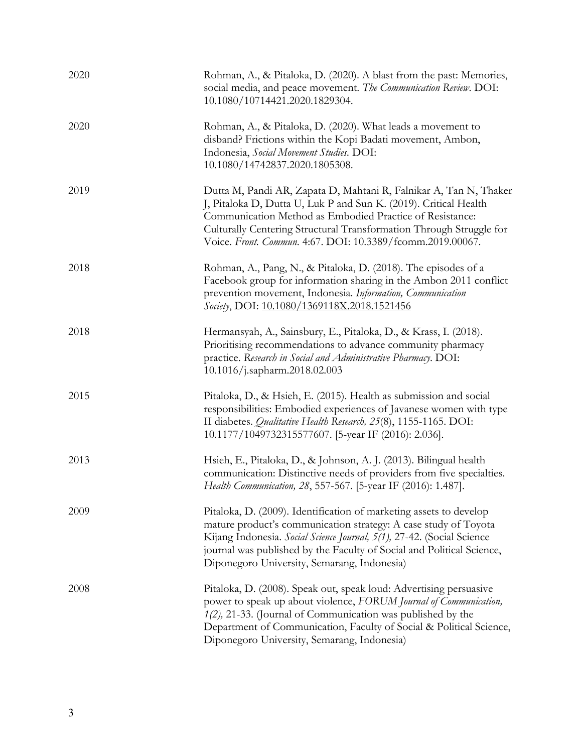| 2020 | Rohman, A., & Pitaloka, D. (2020). A blast from the past: Memories,<br>social media, and peace movement. The Communication Review. DOI:<br>10.1080/10714421.2020.1829304.                                                                                                                                                               |
|------|-----------------------------------------------------------------------------------------------------------------------------------------------------------------------------------------------------------------------------------------------------------------------------------------------------------------------------------------|
| 2020 | Rohman, A., & Pitaloka, D. (2020). What leads a movement to<br>disband? Frictions within the Kopi Badati movement, Ambon,<br>Indonesia, Social Movement Studies. DOI:<br>10.1080/14742837.2020.1805308.                                                                                                                                 |
| 2019 | Dutta M, Pandi AR, Zapata D, Mahtani R, Falnikar A, Tan N, Thaker<br>J, Pitaloka D, Dutta U, Luk P and Sun K. (2019). Critical Health<br>Communication Method as Embodied Practice of Resistance:<br>Culturally Centering Structural Transformation Through Struggle for<br>Voice. Front. Commun. 4:67. DOI: 10.3389/fcomm.2019.00067.  |
| 2018 | Rohman, A., Pang, N., & Pitaloka, D. (2018). The episodes of a<br>Facebook group for information sharing in the Ambon 2011 conflict<br>prevention movement, Indonesia. Information, Communication<br>Society, DOI: 10.1080/1369118X.2018.1521456                                                                                        |
| 2018 | Hermansyah, A., Sainsbury, E., Pitaloka, D., & Krass, I. (2018).<br>Prioritising recommendations to advance community pharmacy<br>practice. Research in Social and Administrative Pharmacy. DOI:<br>10.1016/j.sapharm.2018.02.003                                                                                                       |
| 2015 | Pitaloka, D., & Hsieh, E. (2015). Health as submission and social<br>responsibilities: Embodied experiences of Javanese women with type<br>II diabetes. Qualitative Health Research, 25(8), 1155-1165. DOI:<br>10.1177/1049732315577607. [5-year IF (2016): 2.036].                                                                     |
| 2013 | Hsieh, E., Pitaloka, D., & Johnson, A. J. (2013). Bilingual health<br>communication: Distinctive needs of providers from five specialties.<br>Health Communication, 28, 557-567. [5-year IF (2016): 1.487].                                                                                                                             |
| 2009 | Pitaloka, D. (2009). Identification of marketing assets to develop<br>mature product's communication strategy: A case study of Toyota<br>Kijang Indonesia. Social Science Journal, 5(1), 27-42. (Social Science<br>journal was published by the Faculty of Social and Political Science,<br>Diponegoro University, Semarang, Indonesia) |
| 2008 | Pitaloka, D. (2008). Speak out, speak loud: Advertising persuasive<br>power to speak up about violence, FORUM Journal of Communication,<br>$1(2)$ , 21-33. (Journal of Communication was published by the<br>Department of Communication, Faculty of Social & Political Science,<br>Diponegoro University, Semarang, Indonesia)         |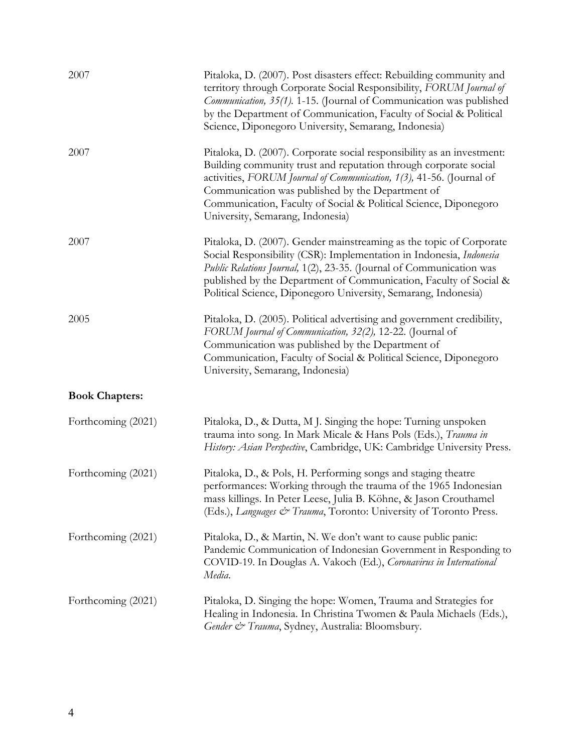| 2007                  | Pitaloka, D. (2007). Post disasters effect: Rebuilding community and<br>territory through Corporate Social Responsibility, FORUM Journal of<br>Communication, 35(1). 1-15. (Journal of Communication was published<br>by the Department of Communication, Faculty of Social & Political<br>Science, Diponegoro University, Semarang, Indonesia)                                |
|-----------------------|--------------------------------------------------------------------------------------------------------------------------------------------------------------------------------------------------------------------------------------------------------------------------------------------------------------------------------------------------------------------------------|
| 2007                  | Pitaloka, D. (2007). Corporate social responsibility as an investment:<br>Building community trust and reputation through corporate social<br>activities, FORUM Journal of Communication, 1(3), 41-56. (Journal of<br>Communication was published by the Department of<br>Communication, Faculty of Social & Political Science, Diponegoro<br>University, Semarang, Indonesia) |
| 2007                  | Pitaloka, D. (2007). Gender mainstreaming as the topic of Corporate<br>Social Responsibility (CSR): Implementation in Indonesia, Indonesia<br>Public Relations Journal, 1(2), 23-35. (Journal of Communication was<br>published by the Department of Communication, Faculty of Social &<br>Political Science, Diponegoro University, Semarang, Indonesia)                      |
| 2005                  | Pitaloka, D. (2005). Political advertising and government credibility,<br>FORUM Journal of Communication, 32(2), 12-22. (Journal of<br>Communication was published by the Department of<br>Communication, Faculty of Social & Political Science, Diponegoro<br>University, Semarang, Indonesia)                                                                                |
| <b>Book Chapters:</b> |                                                                                                                                                                                                                                                                                                                                                                                |
| Forthcoming (2021)    | Pitaloka, D., & Dutta, M.J. Singing the hope: Turning unspoken<br>trauma into song. In Mark Micale & Hans Pols (Eds.), Trauma in<br>History: Asian Perspective, Cambridge, UK: Cambridge University Press.                                                                                                                                                                     |
| Forthcoming (2021)    | Pitaloka, D., & Pols, H. Performing songs and staging theatre<br>performances: Working through the trauma of the 1965 Indonesian<br>mass killings. In Peter Leese, Julia B. Köhne, & Jason Crouthamel<br>(Eds.), Languages & Trauma, Toronto: University of Toronto Press.                                                                                                     |
| Forthcoming (2021)    | Pitaloka, D., & Martin, N. We don't want to cause public panic:<br>Pandemic Communication of Indonesian Government in Responding to<br>COVID-19. In Douglas A. Vakoch (Ed.), Coronavirus in International<br>Media.                                                                                                                                                            |
| Forthcoming (2021)    | Pitaloka, D. Singing the hope: Women, Trauma and Strategies for<br>Healing in Indonesia. In Christina Twomen & Paula Michaels (Eds.),<br>Gender & Trauma, Sydney, Australia: Bloomsbury.                                                                                                                                                                                       |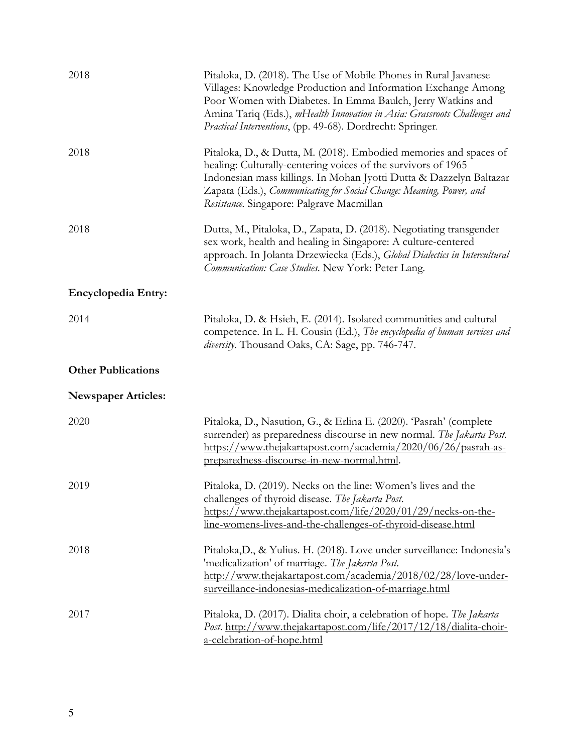| 2018                       | Pitaloka, D. (2018). The Use of Mobile Phones in Rural Javanese<br>Villages: Knowledge Production and Information Exchange Among<br>Poor Women with Diabetes. In Emma Baulch, Jerry Watkins and<br>Amina Tariq (Eds.), mHealth Innovation in Asia: Grassroots Challenges and<br>Practical Interventions, (pp. 49-68). Dordrecht: Springer. |
|----------------------------|--------------------------------------------------------------------------------------------------------------------------------------------------------------------------------------------------------------------------------------------------------------------------------------------------------------------------------------------|
| 2018                       | Pitaloka, D., & Dutta, M. (2018). Embodied memories and spaces of<br>healing: Culturally-centering voices of the survivors of 1965<br>Indonesian mass killings. In Mohan Jyotti Dutta & Dazzelyn Baltazar<br>Zapata (Eds.), Communicating for Social Change: Meaning, Power, and<br>Resistance. Singapore: Palgrave Macmillan              |
| 2018                       | Dutta, M., Pitaloka, D., Zapata, D. (2018). Negotiating transgender<br>sex work, health and healing in Singapore: A culture-centered<br>approach. In Jolanta Drzewiecka (Eds.), Global Dialectics in Intercultural<br>Communication: Case Studies. New York: Peter Lang.                                                                   |
| Encyclopedia Entry:        |                                                                                                                                                                                                                                                                                                                                            |
| 2014                       | Pitaloka, D. & Hsieh, E. (2014). Isolated communities and cultural<br>competence. In L. H. Cousin (Ed.), The encyclopedia of human services and<br>diversity. Thousand Oaks, CA: Sage, pp. 746-747.                                                                                                                                        |
| <b>Other Publications</b>  |                                                                                                                                                                                                                                                                                                                                            |
| <b>Newspaper Articles:</b> |                                                                                                                                                                                                                                                                                                                                            |
| 2020                       | Pitaloka, D., Nasution, G., & Erlina E. (2020). 'Pasrah' (complete<br>surrender) as preparedness discourse in new normal. The Jakarta Post.<br>https://www.thejakartapost.com/academia/2020/06/26/pasrah-as-<br>preparedness-discourse-in-new-normal.html.                                                                                 |
| 2019                       | Pitaloka, D. (2019). Necks on the line: Women's lives and the<br>challenges of thyroid disease. The Jakarta Post.<br>https://www.thejakartapost.com/life/2020/01/29/necks-on-the-<br>line-womens-lives-and-the-challenges-of-thyroid-disease.html                                                                                          |
| 2018                       | Pitaloka, D., & Yulius. H. (2018). Love under surveillance: Indonesia's<br>'medicalization' of marriage. The Jakarta Post.<br>http://www.thejakartapost.com/academia/2018/02/28/love-under-<br>surveillance-indonesias-medicalization-of-marriage.html                                                                                     |
| 2017                       | Pitaloka, D. (2017). Dialita choir, a celebration of hope. The Jakarta<br>Post. http://www.thejakartapost.com/life/2017/12/18/dialita-choir-<br>a-celebration-of-hope.html                                                                                                                                                                 |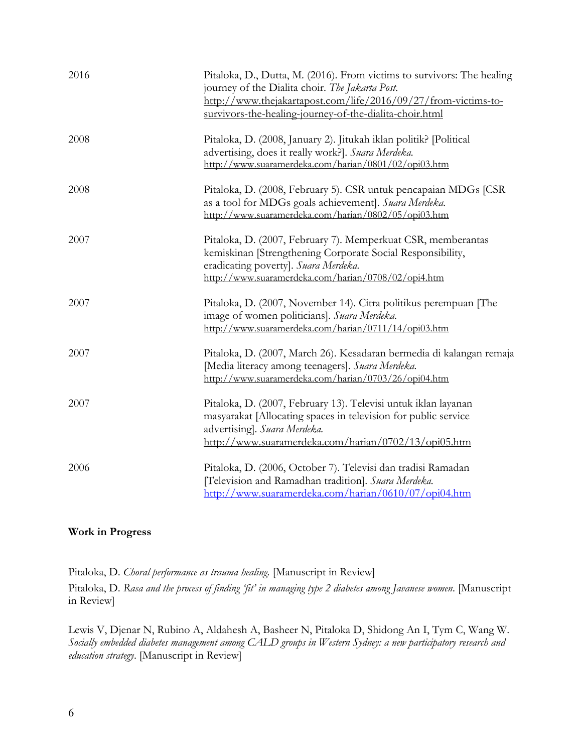| 2016 | Pitaloka, D., Dutta, M. (2016). From victims to survivors: The healing<br>journey of the Dialita choir. The Jakarta Post.<br>http://www.thejakartapost.com/life/2016/09/27/from-victims-to-<br>survivors-the-healing-journey-of-the-dialita-choir.html |
|------|--------------------------------------------------------------------------------------------------------------------------------------------------------------------------------------------------------------------------------------------------------|
| 2008 | Pitaloka, D. (2008, January 2). Jitukah iklan politik? [Political]<br>advertising, does it really work?]. Suara Merdeka.<br>http://www.suaramerdeka.com/harian/0801/02/opi03.htm                                                                       |
| 2008 | Pitaloka, D. (2008, February 5). CSR untuk pencapaian MDGs [CSR<br>as a tool for MDGs goals achievement]. Suara Merdeka.<br>http://www.suaramerdeka.com/harian/0802/05/opi03.htm                                                                       |
| 2007 | Pitaloka, D. (2007, February 7). Memperkuat CSR, memberantas<br>kemiskinan [Strengthening Corporate Social Responsibility,<br>eradicating poverty]. Suara Merdeka.<br>http://www.suaramerdeka.com/harian/0708/02/opi4.htm                              |
| 2007 | Pitaloka, D. (2007, November 14). Citra politikus perempuan [The<br>image of women politicians]. Suara Merdeka.<br>http://www.suaramerdeka.com/harian/0711/14/opi03.htm                                                                                |
| 2007 | Pitaloka, D. (2007, March 26). Kesadaran bermedia di kalangan remaja<br>[Media literacy among teenagers]. Suara Merdeka.<br>http://www.suaramerdeka.com/harian/0703/26/opi04.htm                                                                       |
| 2007 | Pitaloka, D. (2007, February 13). Televisi untuk iklan layanan<br>masyarakat [Allocating spaces in television for public service<br>advertising]. Suara Merdeka.<br>http://www.suaramerdeka.com/harian/0702/13/opi05.htm                               |
| 2006 | Pitaloka, D. (2006, October 7). Televisi dan tradisi Ramadan<br>[Television and Ramadhan tradition]. Suara Merdeka.<br>http://www.suaramerdeka.com/harian/0610/07/opi04.htm                                                                            |

### **Work in Progress**

Pitaloka, D. *Choral performance as trauma healing*. [Manuscript in Review] Pitaloka, D. *Rasa and the process of finding 'fit' in managing type 2 diabetes among Javanese women*. [Manuscript in Review]

Lewis V, Djenar N, Rubino A, Aldahesh A, Basheer N, Pitaloka D, Shidong An I, Tym C, Wang W. *Socially embedded diabetes management among CALD groups in Western Sydney: a new participatory research and education strategy*. [Manuscript in Review]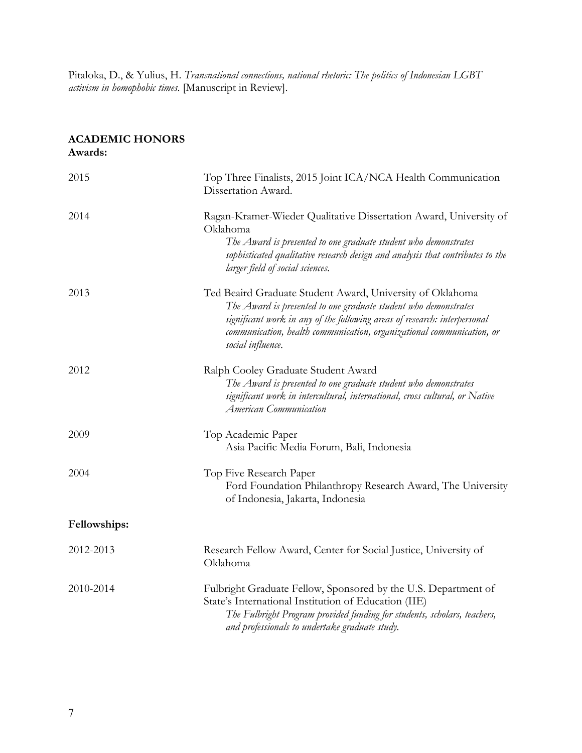Pitaloka, D., & Yulius, H. *Transnational connections, national rhetoric: The politics of Indonesian LGBT activism in homophobic times*. [Manuscript in Review].

#### **ACADEMIC HONORS Awards:**

| 2015         | Top Three Finalists, 2015 Joint ICA/NCA Health Communication<br>Dissertation Award.                                                                                                                                                                                                                     |
|--------------|---------------------------------------------------------------------------------------------------------------------------------------------------------------------------------------------------------------------------------------------------------------------------------------------------------|
| 2014         | Ragan-Kramer-Wieder Qualitative Dissertation Award, University of<br>Oklahoma<br>The Award is presented to one graduate student who demonstrates<br>sophisticated qualitative research design and analysis that contributes to the<br>larger field of social sciences.                                  |
| 2013         | Ted Beaird Graduate Student Award, University of Oklahoma<br>The Award is presented to one graduate student who demonstrates<br>significant work in any of the following areas of research: interpersonal<br>communication, health communication, organizational communication, or<br>social influence. |
| 2012         | Ralph Cooley Graduate Student Award<br>The Award is presented to one graduate student who demonstrates<br>significant work in intercultural, international, cross cultural, or Native<br><b>American Communication</b>                                                                                  |
| 2009         | Top Academic Paper<br>Asia Pacific Media Forum, Bali, Indonesia                                                                                                                                                                                                                                         |
| 2004         | Top Five Research Paper<br>Ford Foundation Philanthropy Research Award, The University<br>of Indonesia, Jakarta, Indonesia                                                                                                                                                                              |
| Fellowships: |                                                                                                                                                                                                                                                                                                         |
| 2012-2013    | Research Fellow Award, Center for Social Justice, University of<br>Oklahoma                                                                                                                                                                                                                             |
| 2010-2014    | Fulbright Graduate Fellow, Sponsored by the U.S. Department of<br>State's International Institution of Education (IIE)<br>The Fulbright Program provided funding for students, scholars, teachers,<br>and professionals to undertake graduate study.                                                    |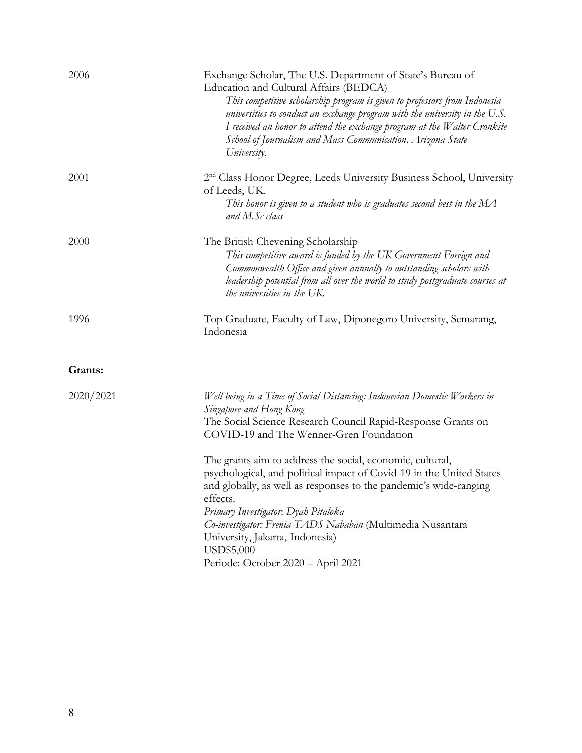| 2006      | Exchange Scholar, The U.S. Department of State's Bureau of<br>Education and Cultural Affairs (BEDCA)<br>This competitive scholarship program is given to professors from Indonesia<br>universities to conduct an exchange program with the university in the U.S.<br>I received an honor to attend the exchange program at the Walter Cronkite<br>School of Journalism and Mass Communication, Arizona State<br>University.                                                                                                                                                                                                       |
|-----------|-----------------------------------------------------------------------------------------------------------------------------------------------------------------------------------------------------------------------------------------------------------------------------------------------------------------------------------------------------------------------------------------------------------------------------------------------------------------------------------------------------------------------------------------------------------------------------------------------------------------------------------|
| 2001      | 2 <sup>nd</sup> Class Honor Degree, Leeds University Business School, University<br>of Leeds, UK.<br>This honor is given to a student who is graduates second best in the $MA$<br>and M.Sc class                                                                                                                                                                                                                                                                                                                                                                                                                                  |
| 2000      | The British Chevening Scholarship<br>This competitive award is funded by the UK Government Foreign and<br>Commonwealth Office and given annually to outstanding scholars with<br>leadership potential from all over the world to study postgraduate courses at<br>the universities in the UK.                                                                                                                                                                                                                                                                                                                                     |
| 1996      | Top Graduate, Faculty of Law, Diponegoro University, Semarang,<br>Indonesia                                                                                                                                                                                                                                                                                                                                                                                                                                                                                                                                                       |
| Grants:   |                                                                                                                                                                                                                                                                                                                                                                                                                                                                                                                                                                                                                                   |
| 2020/2021 | Well-being in a Time of Social Distancing: Indonesian Domestic Workers in<br>Singapore and Hong Kong<br>The Social Science Research Council Rapid-Response Grants on<br>COVID-19 and The Wenner-Gren Foundation<br>The grants aim to address the social, economic, cultural,<br>psychological, and political impact of Covid-19 in the United States<br>and globally, as well as responses to the pandemic's wide-ranging<br>effects.<br>Primary Investigator. Dyah Pitaloka<br>Co-investigator: Frenia TADS Nababan (Multimedia Nusantara<br>University, Jakarta, Indonesia)<br>USD\$5,000<br>Periode: October 2020 - April 2021 |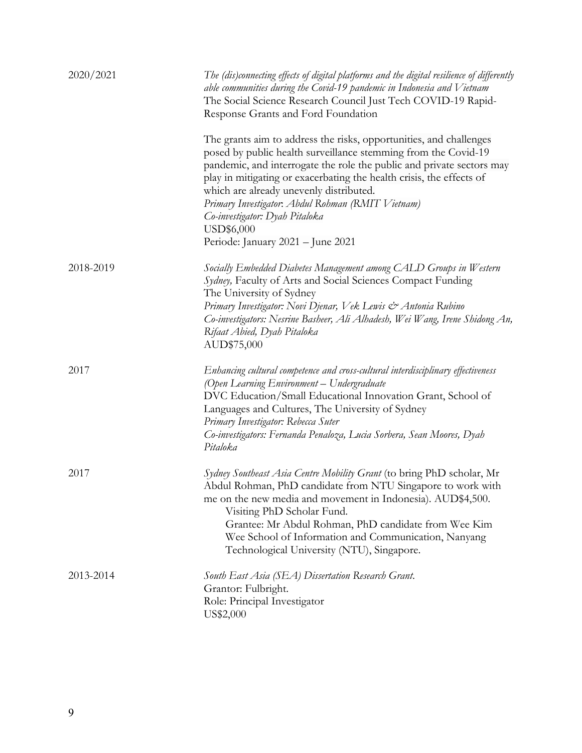| 2020/2021 | The (dis)connecting effects of digital platforms and the digital resilience of differently<br>able communities during the Covid-19 pandemic in Indonesia and Vietnam<br>The Social Science Research Council Just Tech COVID-19 Rapid-<br>Response Grants and Ford Foundation                                                                                                                                                                                               |
|-----------|----------------------------------------------------------------------------------------------------------------------------------------------------------------------------------------------------------------------------------------------------------------------------------------------------------------------------------------------------------------------------------------------------------------------------------------------------------------------------|
|           | The grants aim to address the risks, opportunities, and challenges<br>posed by public health surveillance stemming from the Covid-19<br>pandemic, and interrogate the role the public and private sectors may<br>play in mitigating or exacerbating the health crisis, the effects of<br>which are already unevenly distributed.<br>Primary Investigator. Abdul Rohman (RMIT Vietnam)<br>Co-investigator: Dyah Pitaloka<br>USD\$6,000<br>Periode: January 2021 - June 2021 |
| 2018-2019 | Socially Embedded Diabetes Management among CALD Groups in Western<br>Sydney, Faculty of Arts and Social Sciences Compact Funding<br>The University of Sydney<br>Primary Investigator: Novi Djenar, Vek Lewis & Antonia Rubino<br>Co-investigators: Nesrine Basheer, Ali Alhadesh, Wei Wang, Irene Shidong An,<br>Rifaat Abied, Dyah Pitaloka<br>AUD\$75,000                                                                                                               |
| 2017      | Enhancing cultural competence and cross-cultural interdisciplinary effectiveness<br>(Open Learning Environment - Undergraduate<br>DVC Education/Small Educational Innovation Grant, School of<br>Languages and Cultures, The University of Sydney<br>Primary Investigator: Rebecca Suter<br>Co-investigators: Fernanda Penaloza, Lucia Sorbera, Sean Moores, Dyah<br>Pitaloka                                                                                              |
| 2017      | Sydney Southeast Asia Centre Mobility Grant (to bring PhD scholar, Mr<br>Abdul Rohman, PhD candidate from NTU Singapore to work with<br>me on the new media and movement in Indonesia). AUD\$4,500.<br>Visiting PhD Scholar Fund.<br>Grantee: Mr Abdul Rohman, PhD candidate from Wee Kim<br>Wee School of Information and Communication, Nanyang<br>Technological University (NTU), Singapore.                                                                            |
| 2013-2014 | South East Asia (SEA) Dissertation Research Grant.<br>Grantor: Fulbright.<br>Role: Principal Investigator<br>US\$2,000                                                                                                                                                                                                                                                                                                                                                     |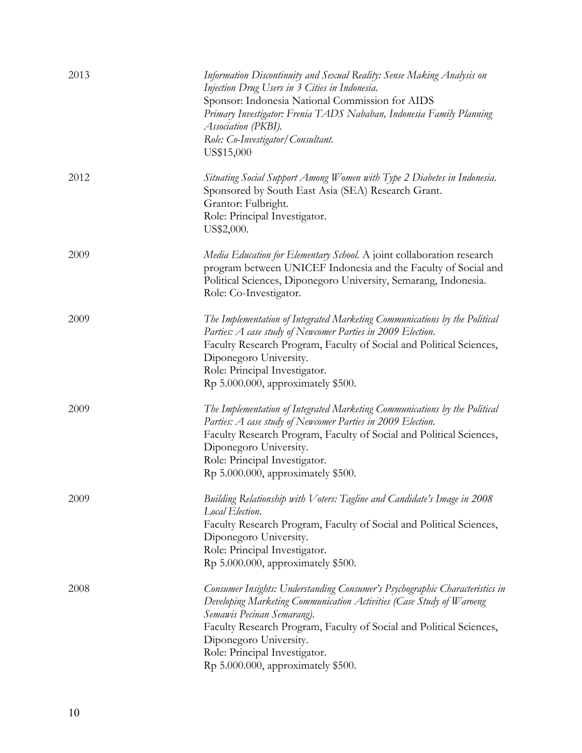| 2013 | Information Discontinuity and Sexual Reality: Sense Making Analysis on<br>Injection Drug Users in 3 Cities in Indonesia.<br>Sponsor: Indonesia National Commission for AIDS<br>Primary Investigator: Frenia TADS Nababan, Indonesia Family Planning<br>Association (PKBI).<br>Role: Co-Investigator/Consultant.<br>US\$15,000                              |
|------|------------------------------------------------------------------------------------------------------------------------------------------------------------------------------------------------------------------------------------------------------------------------------------------------------------------------------------------------------------|
| 2012 | Situating Social Support Among Women with Type 2 Diabetes in Indonesia.<br>Sponsored by South East Asia (SEA) Research Grant.<br>Grantor: Fulbright.<br>Role: Principal Investigator.<br>US\$2,000.                                                                                                                                                        |
| 2009 | Media Education for Elementary School. A joint collaboration research<br>program between UNICEF Indonesia and the Faculty of Social and<br>Political Sciences, Diponegoro University, Semarang, Indonesia.<br>Role: Co-Investigator.                                                                                                                       |
| 2009 | The Implementation of Integrated Marketing Communications by the Political<br>Parties: A case study of Newcomer Parties in 2009 Election.<br>Faculty Research Program, Faculty of Social and Political Sciences,<br>Diponegoro University.<br>Role: Principal Investigator.<br>Rp 5.000.000, approximately \$500.                                          |
| 2009 | The Implementation of Integrated Marketing Communications by the Political<br>Parties: A case study of Newcomer Parties in 2009 Election.<br>Faculty Research Program, Faculty of Social and Political Sciences,<br>Diponegoro University.<br>Role: Principal Investigator.<br>Rp 5.000.000, approximately \$500.                                          |
| 2009 | Building Relationship with Voters: Tagline and Candidate's Image in 2008<br>Local Election.<br>Faculty Research Program, Faculty of Social and Political Sciences,<br>Diponegoro University.<br>Role: Principal Investigator.<br>Rp 5.000.000, approximately \$500.                                                                                        |
| 2008 | Consumer Insights: Understanding Consumer's Psychographic Characteristics in<br>Developing Marketing Communication Activities (Case Study of Waroeng<br>Semawis Pecinan Semarang).<br>Faculty Research Program, Faculty of Social and Political Sciences,<br>Diponegoro University.<br>Role: Principal Investigator.<br>Rp 5.000.000, approximately \$500. |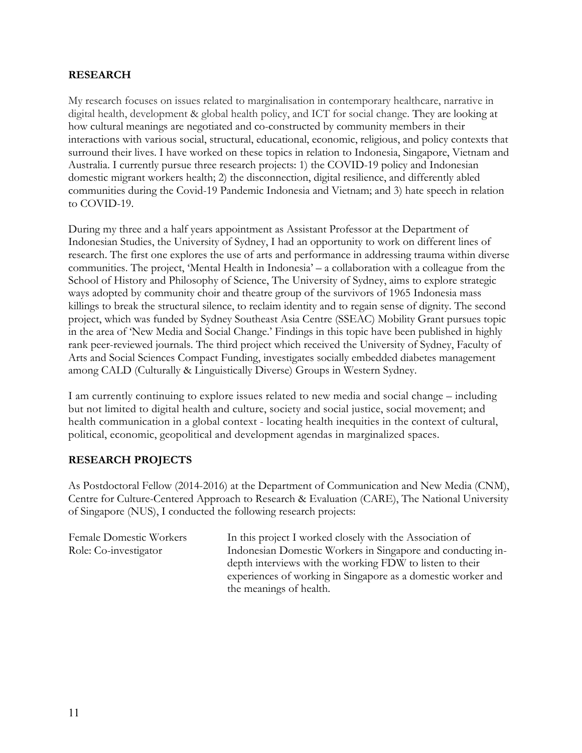#### **RESEARCH**

My research focuses on issues related to marginalisation in contemporary healthcare, narrative in digital health, development & global health policy, and ICT for social change. They are looking at how cultural meanings are negotiated and co-constructed by community members in their interactions with various social, structural, educational, economic, religious, and policy contexts that surround their lives. I have worked on these topics in relation to Indonesia, Singapore, Vietnam and Australia. I currently pursue three research projects: 1) the COVID-19 policy and Indonesian domestic migrant workers health; 2) the disconnection, digital resilience, and differently abled communities during the Covid-19 Pandemic Indonesia and Vietnam; and 3) hate speech in relation to COVID-19.

During my three and a half years appointment as Assistant Professor at the Department of Indonesian Studies, the University of Sydney, I had an opportunity to work on different lines of research. The first one explores the use of arts and performance in addressing trauma within diverse communities. The project, 'Mental Health in Indonesia' – a collaboration with a colleague from the School of History and Philosophy of Science, The University of Sydney, aims to explore strategic ways adopted by community choir and theatre group of the survivors of 1965 Indonesia mass killings to break the structural silence, to reclaim identity and to regain sense of dignity. The second project, which was funded by Sydney Southeast Asia Centre (SSEAC) Mobility Grant pursues topic in the area of 'New Media and Social Change.' Findings in this topic have been published in highly rank peer-reviewed journals. The third project which received the University of Sydney, Faculty of Arts and Social Sciences Compact Funding, investigates socially embedded diabetes management among CALD (Culturally & Linguistically Diverse) Groups in Western Sydney.

I am currently continuing to explore issues related to new media and social change – including but not limited to digital health and culture, society and social justice, social movement; and health communication in a global context - locating health inequities in the context of cultural, political, economic, geopolitical and development agendas in marginalized spaces.

#### **RESEARCH PROJECTS**

As Postdoctoral Fellow (2014-2016) at the Department of Communication and New Media (CNM), Centre for Culture-Centered Approach to Research & Evaluation (CARE), The National University of Singapore (NUS), I conducted the following research projects:

| Female Domestic Workers | In this project I worked closely with the Association of     |
|-------------------------|--------------------------------------------------------------|
| Role: Co-investigator   | Indonesian Domestic Workers in Singapore and conducting in-  |
|                         | depth interviews with the working FDW to listen to their     |
|                         | experiences of working in Singapore as a domestic worker and |
|                         | the meanings of health.                                      |
|                         |                                                              |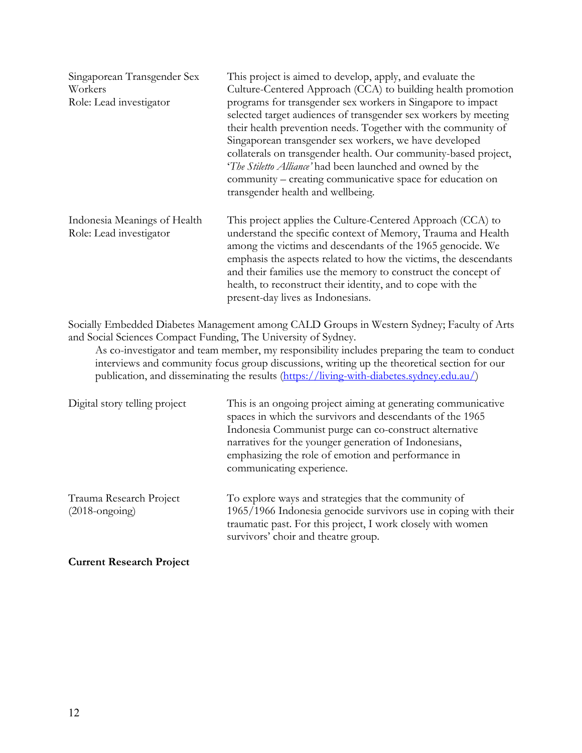| Singaporean Transgender Sex<br>Workers<br>Role: Lead investigator | This project is aimed to develop, apply, and evaluate the<br>Culture-Centered Approach (CCA) to building health promotion<br>programs for transgender sex workers in Singapore to impact<br>selected target audiences of transgender sex workers by meeting<br>their health prevention needs. Together with the community of<br>Singaporean transgender sex workers, we have developed<br>collaterals on transgender health. Our community-based project,<br>'The Stiletto Alliance' had been launched and owned by the<br>community – creating communicative space for education on<br>transgender health and wellbeing. |
|-------------------------------------------------------------------|---------------------------------------------------------------------------------------------------------------------------------------------------------------------------------------------------------------------------------------------------------------------------------------------------------------------------------------------------------------------------------------------------------------------------------------------------------------------------------------------------------------------------------------------------------------------------------------------------------------------------|
| Indonesia Meanings of Health<br>Role: Lead investigator           | This project applies the Culture-Centered Approach (CCA) to<br>understand the specific context of Memory, Trauma and Health<br>among the victims and descendants of the 1965 genocide. We<br>emphasis the aspects related to how the victims, the descendants<br>and their families use the memory to construct the concept of<br>health, to reconstruct their identity, and to cope with the<br>present-day lives as Indonesians.                                                                                                                                                                                        |

Socially Embedded Diabetes Management among CALD Groups in Western Sydney; Faculty of Arts and Social Sciences Compact Funding, The University of Sydney.

As co-investigator and team member, my responsibility includes preparing the team to conduct interviews and community focus group discussions, writing up the theoretical section for our publication, and disseminating the results (https://living-with-diabetes.sydney.edu.au/)

| Digital story telling project                               | This is an ongoing project aiming at generating communicative<br>spaces in which the survivors and descendants of the 1965<br>Indonesia Communist purge can co-construct alternative<br>narratives for the younger generation of Indonesians,<br>emphasizing the role of emotion and performance in<br>communicating experience. |
|-------------------------------------------------------------|----------------------------------------------------------------------------------------------------------------------------------------------------------------------------------------------------------------------------------------------------------------------------------------------------------------------------------|
| Trauma Research Project<br>$(2018 \text{-} \text{ongoing})$ | To explore ways and strategies that the community of<br>1965/1966 Indonesia genocide survivors use in coping with their<br>traumatic past. For this project, I work closely with women<br>survivors' choir and theatre group.                                                                                                    |

**Current Research Project**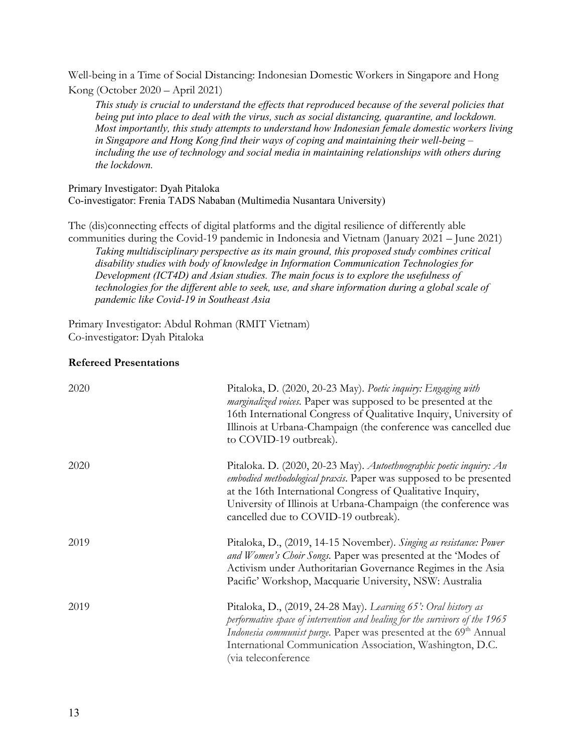Well-being in a Time of Social Distancing: Indonesian Domestic Workers in Singapore and Hong Kong (October 2020 – April 2021)

*This study is crucial to understand the effects that reproduced because of the several policies that being put into place to deal with the virus, such as social distancing, quarantine, and lockdown. Most importantly, this study attempts to understand how Indonesian female domestic workers living in Singapore and Hong Kong find their ways of coping and maintaining their well-being – including the use of technology and social media in maintaining relationships with others during the lockdown.*

Primary Investigator: Dyah Pitaloka Co-investigator: Frenia TADS Nababan (Multimedia Nusantara University)

The (dis)connecting effects of digital platforms and the digital resilience of differently able communities during the Covid-19 pandemic in Indonesia and Vietnam (January 2021 – June 2021) *Taking multidisciplinary perspective as its main ground, this proposed study combines critical disability studies with body of knowledge in Information Communication Technologies for Development (ICT4D) and Asian studies. The main focus is to explore the usefulness of* 

*technologies for the different able to seek, use, and share information during a global scale of pandemic like Covid-19 in Southeast Asia*

Primary Investigator: Abdul Rohman (RMIT Vietnam) Co-investigator: Dyah Pitaloka

### **Refereed Presentations**

| 2020 | Pitaloka, D. (2020, 20-23 May). Poetic inquiry: Engaging with<br>marginalized voices. Paper was supposed to be presented at the<br>16th International Congress of Qualitative Inquiry, University of<br>Illinois at Urbana-Champaign (the conference was cancelled due<br>to COVID-19 outbreak).                            |
|------|-----------------------------------------------------------------------------------------------------------------------------------------------------------------------------------------------------------------------------------------------------------------------------------------------------------------------------|
| 2020 | Pitaloka. D. (2020, 20-23 May). Autoethnographic poetic inquiry: An<br>embodied methodological praxis. Paper was supposed to be presented<br>at the 16th International Congress of Qualitative Inquiry,<br>University of Illinois at Urbana-Champaign (the conference was<br>cancelled due to COVID-19 outbreak).           |
| 2019 | Pitaloka, D., (2019, 14-15 November). Singing as resistance: Power<br>and Women's Choir Songs. Paper was presented at the 'Modes of<br>Activism under Authoritarian Governance Regimes in the Asia<br>Pacific' Workshop, Macquarie University, NSW: Australia                                                               |
| 2019 | Pitaloka, D., (2019, 24-28 May). Learning 65': Oral history as<br>performative space of intervention and healing for the survivors of the 1965<br>Indonesia communist purge. Paper was presented at the 69 <sup>th</sup> Annual<br>International Communication Association, Washington, D.C.<br><i>(via teleconference)</i> |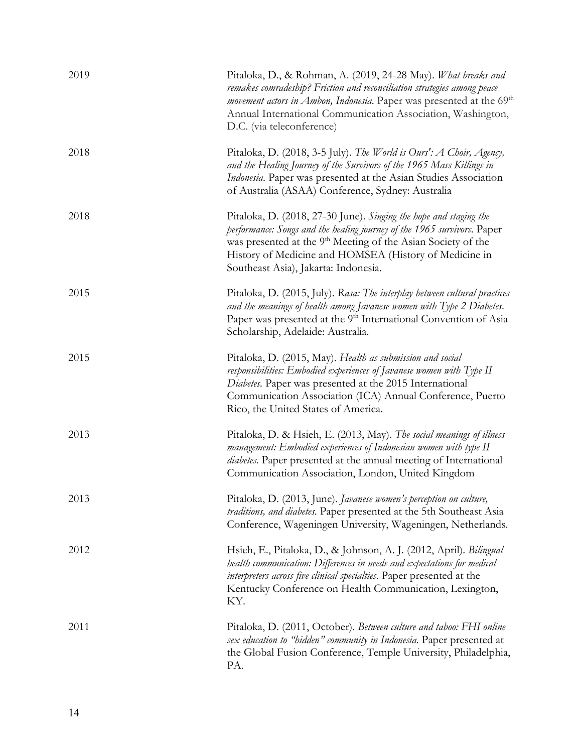| 2019 | Pitaloka, D., & Rohman, A. (2019, 24-28 May). What breaks and<br>remakes comradeship? Friction and reconciliation strategies among peace<br><i>movement actors in Ambon, Indonesia.</i> Paper was presented at the 69 <sup>th</sup><br>Annual International Communication Association, Washington,<br>D.C. (via teleconference) |
|------|---------------------------------------------------------------------------------------------------------------------------------------------------------------------------------------------------------------------------------------------------------------------------------------------------------------------------------|
| 2018 | Pitaloka, D. (2018, 3-5 July). The World is Ours': A Choir, Agency,<br>and the Healing Journey of the Survivors of the 1965 Mass Killings in<br>Indonesia. Paper was presented at the Asian Studies Association<br>of Australia (ASAA) Conference, Sydney: Australia                                                            |
| 2018 | Pitaloka, D. (2018, 27-30 June). Singing the hope and staging the<br>performance: Songs and the healing journey of the 1965 survivors. Paper<br>was presented at the 9 <sup>th</sup> Meeting of the Asian Society of the<br>History of Medicine and HOMSEA (History of Medicine in<br>Southeast Asia), Jakarta: Indonesia.      |
| 2015 | Pitaloka, D. (2015, July). Rasa: The interplay between cultural practices<br>and the meanings of health among Javanese women with Type 2 Diabetes.<br>Paper was presented at the 9 <sup>th</sup> International Convention of Asia<br>Scholarship, Adelaide: Australia.                                                          |
| 2015 | Pitaloka, D. (2015, May). Health as submission and social<br>responsibilities: Embodied experiences of Javanese women with Type II<br>Diabetes. Paper was presented at the 2015 International<br>Communication Association (ICA) Annual Conference, Puerto<br>Rico, the United States of America.                               |
| 2013 | Pitaloka, D. & Hsieh, E. (2013, May). The social meanings of illness<br>management: Embodied experiences of Indonesian women with type II<br>diabetes. Paper presented at the annual meeting of International<br>Communication Association, London, United Kingdom                                                              |
| 2013 | Pitaloka, D. (2013, June). Javanese women's perception on culture,<br>traditions, and diabetes. Paper presented at the 5th Southeast Asia<br>Conference, Wageningen University, Wageningen, Netherlands.                                                                                                                        |
| 2012 | Hsieh, E., Pitaloka, D., & Johnson, A. J. (2012, April). Bilingual<br>health communication: Differences in needs and expectations for medical<br>interpreters across five clinical specialties. Paper presented at the<br>Kentucky Conference on Health Communication, Lexington,<br>KY.                                        |
| 2011 | Pitaloka, D. (2011, October). Between culture and taboo: FHI online<br>sex education to "hidden" community in Indonesia. Paper presented at<br>the Global Fusion Conference, Temple University, Philadelphia,<br>PA.                                                                                                            |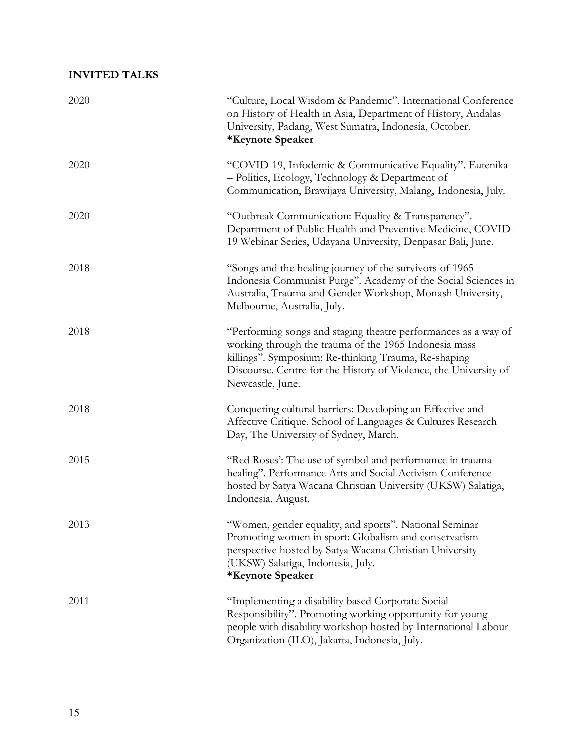## **INVITED TALKS**

| 2020 | "Culture, Local Wisdom & Pandemic". International Conference<br>on History of Health in Asia, Department of History, Andalas<br>University, Padang, West Sumatra, Indonesia, October.<br>*Keynote Speaker                                                               |
|------|-------------------------------------------------------------------------------------------------------------------------------------------------------------------------------------------------------------------------------------------------------------------------|
| 2020 | "COVID-19, Infodemic & Communicative Equality". Eutenika<br>- Politics, Ecology, Technology & Department of<br>Communication, Brawijaya University, Malang, Indonesia, July.                                                                                            |
| 2020 | "Outbreak Communication: Equality & Transparency".<br>Department of Public Health and Preventive Medicine, COVID-<br>19 Webinar Series, Udayana University, Denpasar Bali, June.                                                                                        |
| 2018 | "Songs and the healing journey of the survivors of 1965<br>Indonesia Communist Purge". Academy of the Social Sciences in<br>Australia, Trauma and Gender Workshop, Monash University,<br>Melbourne, Australia, July.                                                    |
| 2018 | "Performing songs and staging theatre performances as a way of<br>working through the trauma of the 1965 Indonesia mass<br>killings". Symposium: Re-thinking Trauma, Re-shaping<br>Discourse. Centre for the History of Violence, the University of<br>Newcastle, June. |
| 2018 | Conquering cultural barriers: Developing an Effective and<br>Affective Critique. School of Languages & Cultures Research<br>Day, The University of Sydney, March.                                                                                                       |
| 2015 | "Red Roses": The use of symbol and performance in trauma<br>healing". Performance Arts and Social Activism Conference<br>hosted by Satya Wacana Christian University (UKSW) Salatiga,<br>Indonesia. August.                                                             |
| 2013 | "Women, gender equality, and sports". National Seminar<br>Promoting women in sport: Globalism and conservatism<br>perspective hosted by Satya Wacana Christian University<br>(UKSW) Salatiga, Indonesia, July.<br>*Keynote Speaker                                      |
| 2011 | "Implementing a disability based Corporate Social<br>Responsibility". Promoting working opportunity for young<br>people with disability workshop hosted by International Labour<br>Organization (ILO), Jakarta, Indonesia, July.                                        |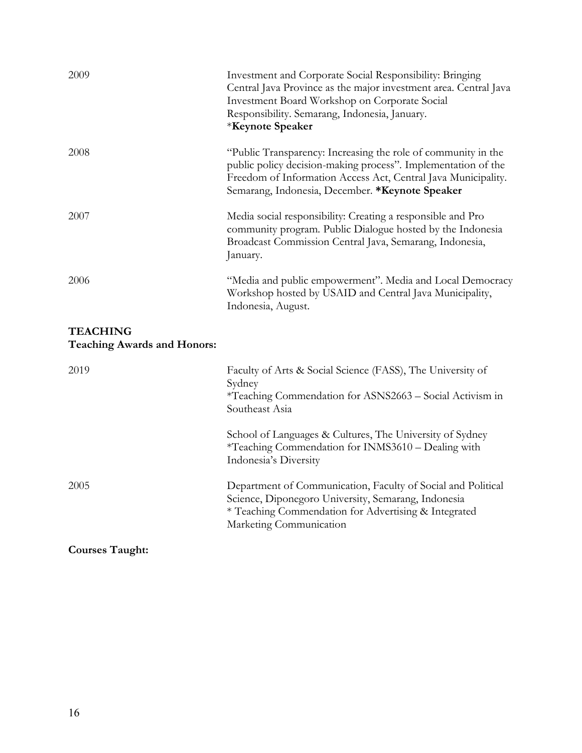| 2009                                                  | Investment and Corporate Social Responsibility: Bringing<br>Central Java Province as the major investment area. Central Java<br>Investment Board Workshop on Corporate Social<br>Responsibility. Semarang, Indonesia, January.<br>*Keynote Speaker |
|-------------------------------------------------------|----------------------------------------------------------------------------------------------------------------------------------------------------------------------------------------------------------------------------------------------------|
| 2008                                                  | "Public Transparency: Increasing the role of community in the<br>public policy decision-making process". Implementation of the<br>Freedom of Information Access Act, Central Java Municipality.<br>Semarang, Indonesia, December. *Keynote Speaker |
| 2007                                                  | Media social responsibility: Creating a responsible and Pro<br>community program. Public Dialogue hosted by the Indonesia<br>Broadcast Commission Central Java, Semarang, Indonesia,<br>January.                                                   |
| 2006                                                  | "Media and public empowerment". Media and Local Democracy<br>Workshop hosted by USAID and Central Java Municipality,<br>Indonesia, August.                                                                                                         |
| <b>TEACHING</b><br><b>Teaching Awards and Honors:</b> |                                                                                                                                                                                                                                                    |
| 2019                                                  | Faculty of Arts & Social Science (FASS), The University of<br>Sydney<br>*Teaching Commendation for ASNS2663 - Social Activism in<br>Southeast Asia                                                                                                 |
|                                                       | School of Languages & Cultures, The University of Sydney<br>*Teaching Commendation for INMS3610 - Dealing with<br>Indonesia's Diversity                                                                                                            |

2005 Department of Communication, Faculty of Social and Political

Marketing Communication

Science, Diponegoro University, Semarang, Indonesia \* Teaching Commendation for Advertising & Integrated

**Courses Taught:**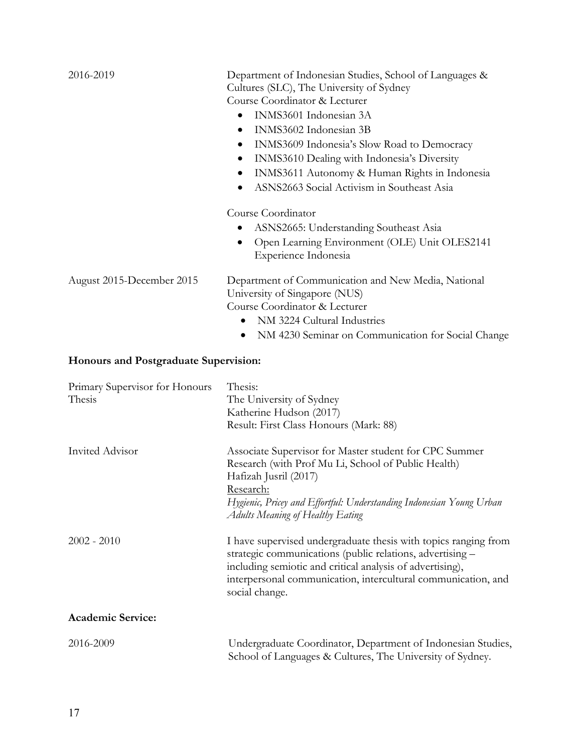| 2016-2019                             | Department of Indonesian Studies, School of Languages &<br>Cultures (SLC), The University of Sydney       |
|---------------------------------------|-----------------------------------------------------------------------------------------------------------|
|                                       | Course Coordinator & Lecturer                                                                             |
|                                       | INMS3601 Indonesian 3A<br>٠                                                                               |
|                                       | INMS3602 Indonesian 3B<br>٠                                                                               |
|                                       | INMS3609 Indonesia's Slow Road to Democracy<br>$\bullet$                                                  |
|                                       | INMS3610 Dealing with Indonesia's Diversity<br>$\bullet$<br>INMS3611 Autonomy & Human Rights in Indonesia |
|                                       | ASNS2663 Social Activism in Southeast Asia                                                                |
|                                       | Course Coordinator                                                                                        |
|                                       | ASNS2665: Understanding Southeast Asia                                                                    |
|                                       | Open Learning Environment (OLE) Unit OLES2141<br>٠<br>Experience Indonesia                                |
| August 2015-December 2015             | Department of Communication and New Media, National<br>University of Singapore (NUS)                      |
|                                       | Course Coordinator & Lecturer                                                                             |
|                                       | NM 3224 Cultural Industries                                                                               |
|                                       | NM 4230 Seminar on Communication for Social Change                                                        |
| Honours and Postgraduate Supervision: |                                                                                                           |
| Primary Supervisor for Honours        | Thesis:                                                                                                   |
| Thesis                                | The Howersity of Sydney                                                                                   |

| THIRTY Supervisor for Frontiers<br>Thesis | 1 110 515.<br>The University of Sydney<br>Katherine Hudson (2017)<br>Result: First Class Honours (Mark: 88)                                                                                                                                                                  |
|-------------------------------------------|------------------------------------------------------------------------------------------------------------------------------------------------------------------------------------------------------------------------------------------------------------------------------|
| Invited Advisor                           | Associate Supervisor for Master student for CPC Summer<br>Research (with Prof Mu Li, School of Public Health)<br>Hafizah Jusril (2017)<br>Research:<br>Hygienic, Pricey and Effortful: Understanding Indonesian Young Urban<br><b>Adults Meaning of Healthy Eating</b>       |
| $2002 - 2010$                             | I have supervised undergraduate thesis with topics ranging from<br>strategic communications (public relations, advertising -<br>including semiotic and critical analysis of advertising),<br>interpersonal communication, intercultural communication, and<br>social change. |
| <b>Academic Service:</b>                  |                                                                                                                                                                                                                                                                              |
| 2016-2009                                 | Undergraduate Coordinator, Department of Indonesian Studies,<br>School of Languages & Cultures, The University of Sydney.                                                                                                                                                    |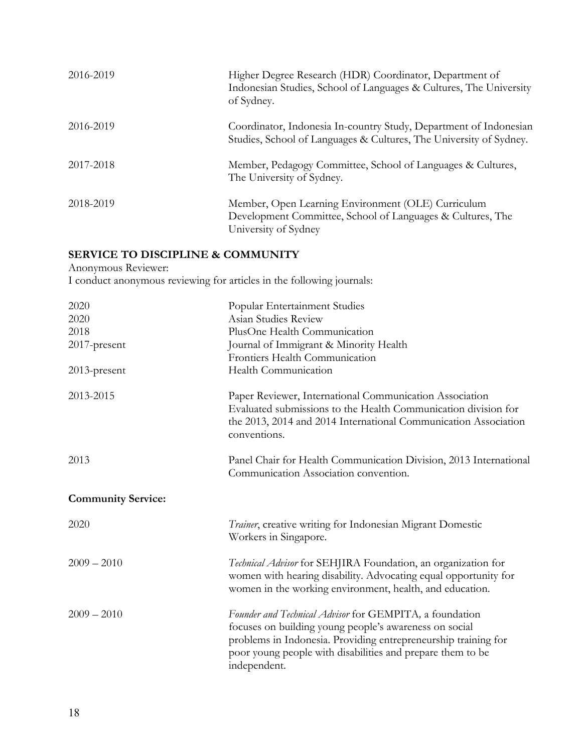| 2016-2019 | Higher Degree Research (HDR) Coordinator, Department of<br>Indonesian Studies, School of Languages & Cultures, The University<br>of Sydney. |
|-----------|---------------------------------------------------------------------------------------------------------------------------------------------|
| 2016-2019 | Coordinator, Indonesia In-country Study, Department of Indonesian<br>Studies, School of Languages & Cultures, The University of Sydney.     |
| 2017-2018 | Member, Pedagogy Committee, School of Languages & Cultures,<br>The University of Sydney.                                                    |
| 2018-2019 | Member, Open Learning Environment (OLE) Curriculum<br>Development Committee, School of Languages & Cultures, The<br>University of Sydney    |

# **SERVICE TO DISCIPLINE & COMMUNITY**

Anonymous Reviewer:

I conduct anonymous reviewing for articles in the following journals:

| 2020                      | Popular Entertainment Studies                                                                                                                                                                                                                                     |
|---------------------------|-------------------------------------------------------------------------------------------------------------------------------------------------------------------------------------------------------------------------------------------------------------------|
| 2020                      | Asian Studies Review                                                                                                                                                                                                                                              |
| 2018                      | PlusOne Health Communication                                                                                                                                                                                                                                      |
| 2017-present              | Journal of Immigrant & Minority Health                                                                                                                                                                                                                            |
|                           | Frontiers Health Communication                                                                                                                                                                                                                                    |
| 2013-present              | Health Communication                                                                                                                                                                                                                                              |
| 2013-2015                 | Paper Reviewer, International Communication Association<br>Evaluated submissions to the Health Communication division for<br>the 2013, 2014 and 2014 International Communication Association<br>conventions.                                                      |
| 2013                      | Panel Chair for Health Communication Division, 2013 International<br>Communication Association convention.                                                                                                                                                        |
| <b>Community Service:</b> |                                                                                                                                                                                                                                                                   |
| 2020                      | Trainer, creative writing for Indonesian Migrant Domestic<br>Workers in Singapore.                                                                                                                                                                                |
| $2009 - 2010$             | Technical Advisor for SEHJIRA Foundation, an organization for<br>women with hearing disability. Advocating equal opportunity for<br>women in the working environment, health, and education.                                                                      |
| $2009 - 2010$             | Founder and Technical Advisor for GEMPITA, a foundation<br>focuses on building young people's awareness on social<br>problems in Indonesia. Providing entrepreneurship training for<br>poor young people with disabilities and prepare them to be<br>independent. |